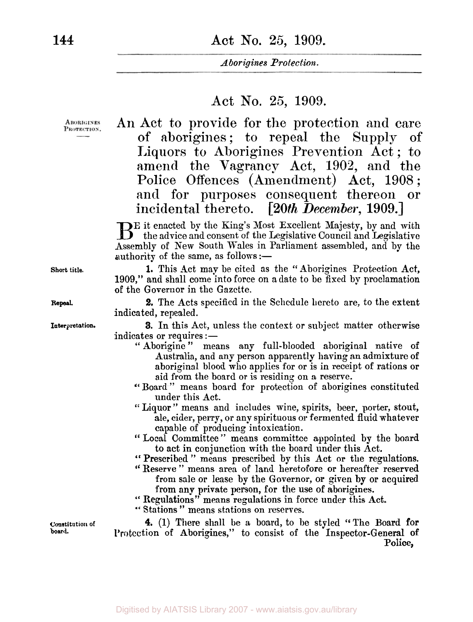### *Aborigines Protection.*

## Act No. **25,** 1909.

ABORIGINES PROTECTION. An Act to provide for the protection and care of aborigines; to repeal the Supply of Liquors to Aborigines Prevention Act ; to amend the Vagrancy Act, 1902, and the Police Offences (Amendment) Act, 1908 ; and for purposes consequent thereon or incidental **thereto.** [ **20th** *December,* 1909. ]

**E** it enacted by the King's Most Excellent Majesty, by and with the advice and consent of the Legislative Council and Legislative Assembly of New South Wales in Parliament assembled, and by the authority of the same, as follows :-

**1.** This **Act** may be cited **as** the **'c** Aborigines Protection Act, **1909,"** and shall come into force on a date to be fixed by proclamation **of** the Governor in the Gazette.

**2,** The Acts specified in the Schedule hereto are, to the extent indicated, repealed,

**3.** In this Act, unless the contest or subject matter otherwise indicates or requires  $:$   $-$ 

- " Aborigine '' means any full-blooded aboriginal native **of**  Australia, and any person apparently having an admixture of aboriginal blood who applies for or is in receipt of rations or aid from the board or is residing on a reserve.
- **"** Board '' means board for protection of aborigines constituted under this Act.
- Liquor " means and includes wine, spirits, beer, porter, stout, ale, cider, perry, or any spirituous or fermented fluid whatever capable of producing intoxication.
- Local Committee " means committee appointed by the board
- " Prescribed " means prescribed by this Act or the regulations.
- '' Reserve '' means area of land heretofore or hereafter reserved from sale or lease by the Governor, or given **by** or acquired

" Regulations" means regulations in force under this Act.

" Stations " **means** stations on **reserves.** 

**4. (1)** There shall be a board, to be styled "The Board **for**  Protcction of Aborigines," to consist of the Inspector-General **of Police,** 

**Short title.** 

**Repeal.** 

**Interpretation.** 

**Constitution of board.**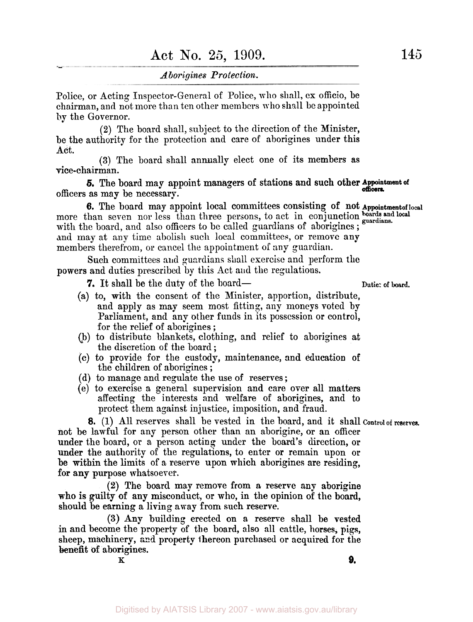#### *Aborigines Protection.*

Police, or Acting Inspector-General of Police, who shall, ex officio, be chairman, and not more than ten other members who shall be appointed **hy** the Governor.

**(2)** The board shall, subject to the direction of the Minister, be the authority for the protection and care of aborigines under this Act.

**(3)** The board shall annually elect one of its members as vice-chairman.

officers as may be necessary. *5.* The board may appoint managers of stations and such other **Appointment of officers** 

more than seven nor less than three persons, to act in conjunction **boards** and local with the board, and also officers to be called guardians of aborigines; and may at any time abolish such local committees, or remove any members therefrom, or cancel the appointment of any guardian. **6.** The board may appoint local committees consisting of not **Appointmentof local** 

Such committees and guardians shall exercise and perform the powers and duties prescribed by this Act and the regulations.

**7.** It shall be the duty of the board— **Duties** Duties of board.

- 
- (a) to, with the consent of the Minister, apportion, distribute, and apply as may seem most fitting, any moneys voted by Parliament, and any other funds in its possession or control, for the relief of aborigines ;
- (b) to distribute blankets, clothing, and relief to aborigines at the discretion of the board ;
- *(c)* to provide for the custody, maintenance, and education of the children of aborigines ;
- **(d)** to manage and regulate the use of reserves ;
- (e) to exercise a general supervision and care over all matters affecting the interests and welfare of aborigines, and to protect them against injustice, imposition, and fraud.

not be lawful for any person other than an aborigine, or an officer under the board, or a person acting under the board's direction, or under the authority of the regulations, to enter or remain upon or be within the limits of a reserve upon which aborigines are residing, for **any** purpose whatsoever. **8.** (1) All reserves shall be vested in the board, and it shall Control of reserves.

**(2)** The board may remove from a reserve any aborigine who is guilty of any misconduct, or who, in the opinion of the board, should be earning a living **away** from such reserve.

**(3) Any** building erected on a reserve shall be vested in and become the property of the board, also all cattle, horses, **pigs,**  sheep, machinery, and property thereon purchased or acquired for the benefit **of** aborigines.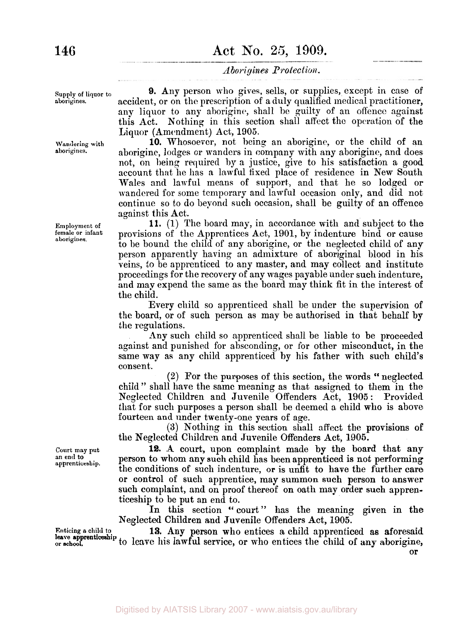#### *Aborigines Protection.*

**Supply of liquor** to **aborigines.** 

**Wandering with aborigines.** 

**Employment** of **female or infant aborigines.** 

**Enticing** *a* **child to** 

**Court may put an end to apprenticeship.** 

**9.** Any person who gives, sells, or supplies, except in case of accident, or on the prescription of a duly qualified medical practitioner, any liquor to any aborigine, shall he guilty of an offence against this Act. Nothing in this section shall affect the operation of the Liquor (Amendment) Act, 1905.

**10.** Whosoever, not being an aborigine, or the child of an aborigine, lodges or wanders in company with any aborigine, and does not, on being required by a justice, give to his satisfaction a good account that he has a lawful fixed place of residence in New South Wales and lawful means of support, and that he so lodged or wandered for some temporary and lawful occasion only, and did not continue so to do beyond such occasion, shall be guilty of an offence against this Act.

**11.** (1) The board may, in accordance with and subject to the provisions of the Apprentices Act, **1901,** by indenture bind or cause to be bound the child of any aborigine, or the neglected child of any person apparently having an admixture of aboriginal blood in his veins, to be apprenticed to any master, and may collect and institute proceedings for the recovery of any wages payable under such indenture, and may expend the same as the board may think fit in the interest of the child.

Every child so apprenticed shall be under the supervision of the board, or of such person as may be authorised in that behalf by the regulations.

Any such child so apprenticed shall be liable to be proceeded against and punished for absconding, or for other misconduct, in the same way as any child apprenticed by his father with such child's consent.

(2) For the purposes of this section, the words "neglected" child " shall have the same meaning as that assigned to them in the Neglected Children and Juvenile Offenders Act, 1905 : Provided that for such purposes a person shall be deemed a child who is above fourteen and under twenty-one years of age.

**(3)** Nothing in this section shall affect the provisions **of**  the Neglected Children and Juvenile Offenders Act, **1905.** 

**12. A** court, upon complaint made by the board that any person to whom any such child has been apprenticed is not performing the conditions of such indenture, or is unfit to have the further care or control of such apprentice, may summon such person to answer such complaint, and on proof thereof on oath may order such apprenticeship to be put an end to.

In this section "court" has the meaning given in the Neglected Children **and** Juvenile Offenders Act, 1905.

leave apprenticeship to leave his lawful service, or who entices the child of any aborigine, **13. Any** person who entices a child apprenticed **as** aforesaid

or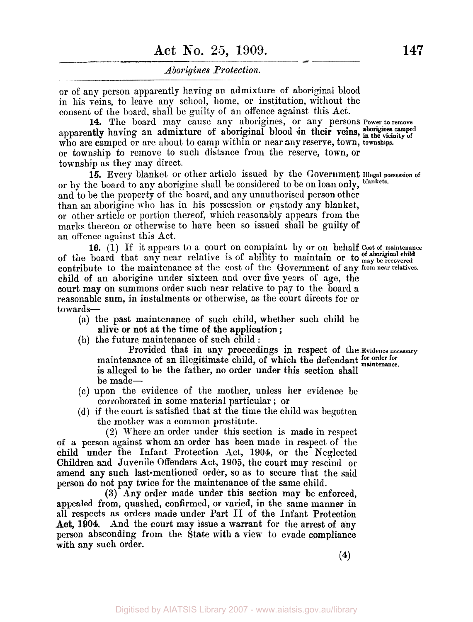#### *Aborigines Protection.*

or of any person apparently having an admixture of aboriginal blood in his veins, to leave any school, home, or institution, without the consent of the board, shall be guilty of an offence against this Act.

apparently having an admixture of aboriginal blood in their veins, aborigines camped who are camped or are about to camp within or near any reserve, town, townships. or township to remove to such distance from the reserve, town, or township as they may direct. **14.** The board may cause any aborigines, or any persons **Power to remove** 

or by the board to any aborigine shall be considered to be on loan only, blankets. and to be the property of the board, and any unauthorised person other than an aborigine who has in his possession or custody any blanket, or other article or portion thereof, which reasonably appears from the marks thereon or otherwise to have been so issued shall be guilty of an offence against this Act. **16.** Every blanket or other article issued by the Government **Illegal posession of** 

**16.** (1) If it appears to a court on complaint by or on behalf **Cost** of **maintenance**  of **aboriginal child** of the board that any near relative is of ability to maintain or to **may be recovered**  contribute to the maintenance at the cost of the Government of' any **from near relatives.**  child of an aborigine under sixteen and over five years **of** age, the court may on summons order such near relative to pay to the board a reasonable sum, in instalments or otherwise, as the court directs for or towards-

- (a) the past maintenance of such child, whether such child be alive or not at the time **of** the application ;
- (b) the future maintenance **of** such child :

Provided that in any proceedings in respect of the **Evidence necessary for order for** maintenance of an illegitimate child, **of** which the defendant **maintenance.**  is alleged to be the father, no order under this section shall be made-

- (c) upon the evidence of the mother, unless her evidence be corroborated in some material particular ; or
- (d) if the court is satisfied that at the time the child was begotten the mother was a common prostitute.

**(2)** Where an order under this section is made in respect **of** a person against whom an order has been made in respect of the child under the Infant Protection Act, **1904,** or the Neglected Children and Juvenile Offenders Act, **1905,** the court may rescind or amend any **such** last-mentioned order, so as to secure that the said person do not **pay** twice for the maintenance **of** the same child.

**(3)** Any order made under this section may be enforced, appealed from, quashed, confirmed, or varied, in the same manner in all respects **as** orders made under Part II of the Infant Protection And the court may issue a warrant for the arrest of any **1904.**  person absconding from the State with a view to evade compliance with any such order.

**(4)**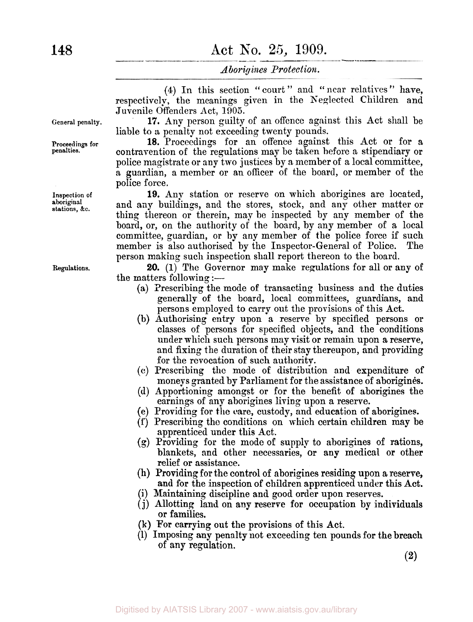#### *Aborigines Protection.*

**(4)** In this section " court " and '' near relatives " have, respectively, the meanings given in the Neglected Children and Juvenile Offenders Act, 1905.

**General penalty. 17.** Any person guilty of an offence against this Act shall be liable to **a** penalty not exceeding twenty pounds.

**Proceedings for 18.** Proceedings for an offence against this Act or for a **penalties.** contravention of the regulations may be taken before a stipendiary or police magistrate or any two justices by a member of a local committee, a guardian, a member or an officer of the board, or member of the police force.

> **19.** Any station or reserve on which aborigines are located, and any buildings, and the stores, stock, and any other matter or thing thereon or therein, may be inspected by any member of the board, or, on the authority of the board, by any member of a local committee, guardian, or by any member of the police force if such member is also authorised by the Inspector-General of Police. The person making such inspection shall report thereon to the board.

> *20.* (1) **The** Governor may make regulations for all or any of the matters following  $:$ ---

- **(a)** Prescribing the mode of transacting business and the duties generally of the board, local committees, guardians, and persons employed to carry out the provisions of this Act.
- **(b)** Authorising entry upon a reserve by specified persons or classes of persons for specified objects, and the conditions under which such persons may visit or remain upon **a** reserve, and fixing the duration of their stay thereupon, and providing for the revocation of such authority.
- *(c)* Prescribing the mode of distribution and expenditure of moneys granted by Parliament for the assistance of aborigines.
- **(d)** Apportioning amongst or for the benefit of aborigines the earnings of any aborigines living upon a reserve.
- (e) Providing for the care, custody, and education of aborigines.
- (i') Prescribing the conditions on which certain children may be apprenticed under this Act.
- (g) Providing for the mode of supply to aborigines of rations, blankets, and other necessaries, or **any** medical or other relief or assistance.
- **(h)** Providing for the control of aborigines residing upon a reserve, **and** for the inspection of children apprenticed under this Act.
- **(i)** Maintaining discipline and good order upon reserves.
- (j) Allotting land on any reserve for occupation by individuals or families.
- **(k)** For carrying out the provisions of this Act.
- (1) Imposing any penalty not exceeding ten pounds for the breach of any regulation.

**(2)** 

**Inspection of aboriginal stations,** &c.

**Regulations.**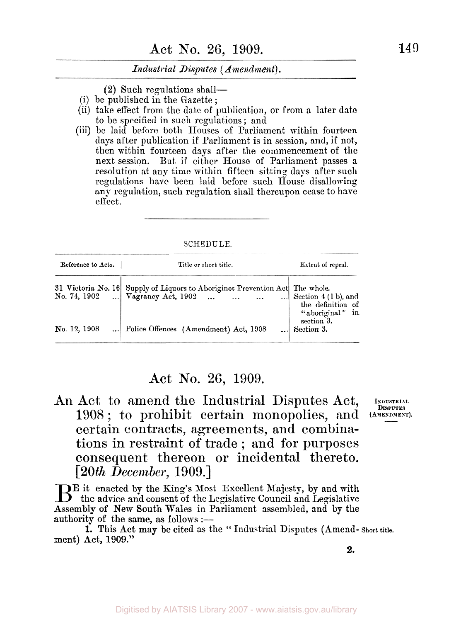#### *Industrial Disputes* (Amendment) .

**(2)** Such regulations shall-

- (i) be published in the Gazette ;
- (ii) take effect from the date of publication, or from a later date to he specified in such regulations ; and
- (iii) be laid before both Houses of Parliament within fourteen days after publication if Parliament is in session, and, if not, then within fourteen days after the commencement of the next session. But if either House of Parliament passes a resolution at any time within fifteen sitting days after such regulations have been laid before such House disallowing any regulation, such regulation shall thereupon cease to have effect.

| Reference to Acts. | Title or short title.                                                                                                               | Extent of repeal.                                              |
|--------------------|-------------------------------------------------------------------------------------------------------------------------------------|----------------------------------------------------------------|
|                    | 31 Victoria No. 16 Supply of Liquors to Aborigines Prevention Act The whole.<br>No. 74, 1902  Vagrancy Act, 1902      Section 4 (1) | Section $4(1 b)$ , and<br>the definition of<br>"aboriginal" in |
| No. 12, 1908       | Police Offences (Amendment) Act, 1908                                                                                               | section 3.<br>Section 3.                                       |

SCHEDULE.

## Act No. **26,** 1909.

An Act to amend the Industrial Disputes Act, **INDUSTRIAL** <sup>1908</sup>; to prohibit certain monopolies, and **(Amendment).**  certain contracts, agreements, and combinations in restraint of trade ; and for purposes consequent thereon or incidental thereto. *[20th December,* 1909.]

BE it enacted by the King's Most Excellent Majesty, by and with the advice and consent of the Legislative Council and Legislative Assembly of **New** South Wales in Parliament assembled, and by the authority of the same, as follows :-

ment) Act, **1909.'' 1.** This **Act** may be cited **as** the " Industrial Disputes (Amend- Short **title.** 

**2.** 

**DISPUTES** 

**149**